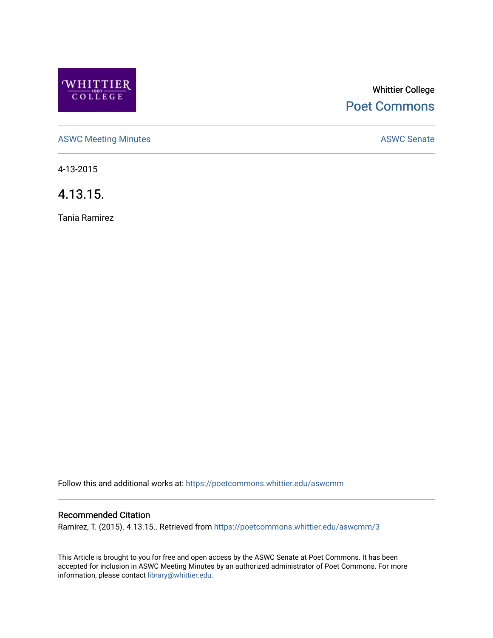

# Whittier College [Poet Commons](https://poetcommons.whittier.edu/)

[ASWC Meeting Minutes](https://poetcommons.whittier.edu/aswcmm) **ASWC Senate** 

4-13-2015

4.13.15.

Tania Ramirez

Follow this and additional works at: [https://poetcommons.whittier.edu/aswcmm](https://poetcommons.whittier.edu/aswcmm?utm_source=poetcommons.whittier.edu%2Faswcmm%2F3&utm_medium=PDF&utm_campaign=PDFCoverPages)

### Recommended Citation

Ramirez, T. (2015). 4.13.15.. Retrieved from [https://poetcommons.whittier.edu/aswcmm/3](https://poetcommons.whittier.edu/aswcmm/3?utm_source=poetcommons.whittier.edu%2Faswcmm%2F3&utm_medium=PDF&utm_campaign=PDFCoverPages) 

This Article is brought to you for free and open access by the ASWC Senate at Poet Commons. It has been accepted for inclusion in ASWC Meeting Minutes by an authorized administrator of Poet Commons. For more information, please contact [library@whittier.edu.](mailto:library@whittier.edu)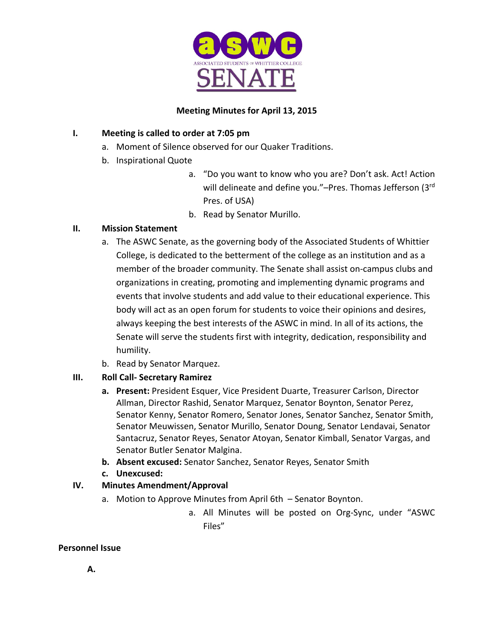

# **Meeting Minutes for April 13, 2015**

## **I. Meeting is called to order at 7:05 pm**

- a. Moment of Silence observed for our Quaker Traditions.
- b. Inspirational Quote
	- a. "Do you want to know who you are? Don't ask. Act! Action will delineate and define you."-Pres. Thomas Jefferson (3rd Pres. of USA)
	- b. Read by Senator Murillo.

# **II. Mission Statement**

- a. The ASWC Senate, as the governing body of the Associated Students of Whittier College, is dedicated to the betterment of the college as an institution and as a member of the broader community. The Senate shall assist on-campus clubs and organizations in creating, promoting and implementing dynamic programs and events that involve students and add value to their educational experience. This body will act as an open forum for students to voice their opinions and desires, always keeping the best interests of the ASWC in mind. In all of its actions, the Senate will serve the students first with integrity, dedication, responsibility and humility.
- b. Read by Senator Marquez.

# **III. Roll Call- Secretary Ramirez**

- **a. Present:** President Esquer, Vice President Duarte, Treasurer Carlson, Director Allman, Director Rashid, Senator Marquez, Senator Boynton, Senator Perez, Senator Kenny, Senator Romero, Senator Jones, Senator Sanchez, Senator Smith, Senator Meuwissen, Senator Murillo, Senator Doung, Senator Lendavai, Senator Santacruz, Senator Reyes, Senator Atoyan, Senator Kimball, Senator Vargas, and Senator Butler Senator Malgina.
- **b. Absent excused:** Senator Sanchez, Senator Reyes, Senator Smith
- **c. Unexcused:**

# **IV. Minutes Amendment/Approval**

- a. Motion to Approve Minutes from April 6th Senator Boynton.
	- a. All Minutes will be posted on Org-Sync, under "ASWC Files"

## **Personnel Issue**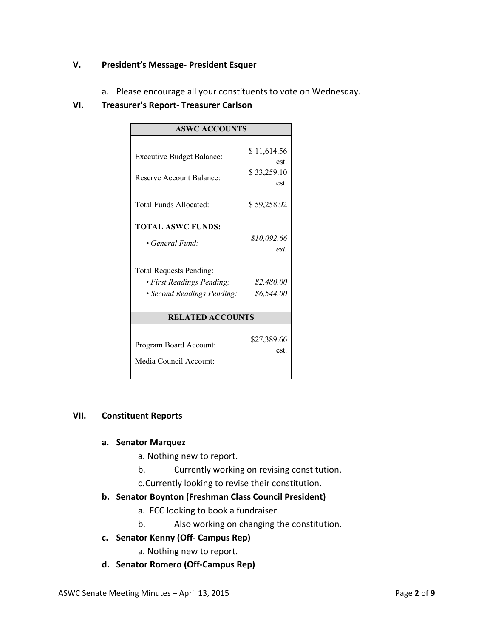#### **V. President's Message- President Esquer**

a. Please encourage all your constituents to vote on Wednesday.

#### **VI. Treasurer's Report- Treasurer Carlson**

| <b>ASWC ACCOUNTS</b>             |             |
|----------------------------------|-------------|
|                                  |             |
| <b>Executive Budget Balance:</b> | \$11,614.56 |
|                                  | est.        |
| Reserve Account Balance:         | \$33,259.10 |
|                                  | est.        |
| Total Funds Allocated:           | \$59,258.92 |
|                                  |             |
| <b>TOTAL ASWC FUNDS:</b>         |             |
|                                  | \$10,092.66 |
| • General Fund:                  | est.        |
|                                  |             |
| <b>Total Requests Pending:</b>   |             |
| • First Readings Pending:        | \$2,480.00  |
| • Second Readings Pending:       | \$6,544.00  |
|                                  |             |
| <b>RELATED ACCOUNTS</b>          |             |
|                                  |             |
| Program Board Account:           | \$27,389.66 |
|                                  | est.        |
| Media Council Account:           |             |
|                                  |             |

#### **VII. Constituent Reports**

#### **a. Senator Marquez**

- a. Nothing new to report.
- b. Currently working on revising constitution.
- c.Currently looking to revise their constitution.

#### **b. Senator Boynton (Freshman Class Council President)**

- a. FCC looking to book a fundraiser.
- b. Also working on changing the constitution.
- **c. Senator Kenny (Off- Campus Rep)**
	- a. Nothing new to report.
- **d. Senator Romero (Off-Campus Rep)**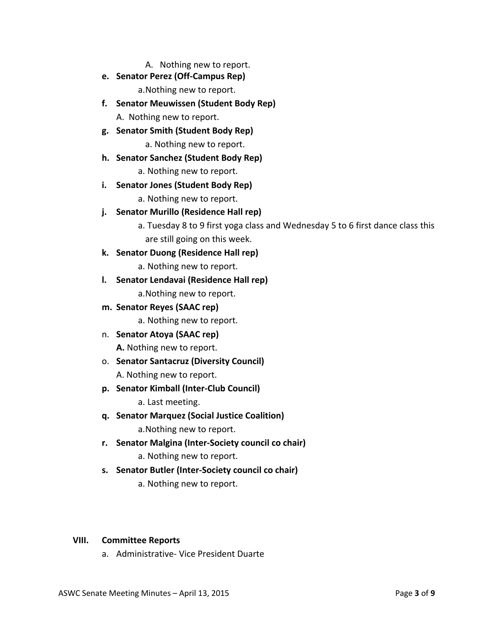A. Nothing new to report.

- **e. Senator Perez (Off-Campus Rep)** a.Nothing new to report.
- **f. Senator Meuwissen (Student Body Rep)** A. Nothing new to report.
- **g. Senator Smith (Student Body Rep)**

a. Nothing new to report.

**h. Senator Sanchez (Student Body Rep)**

a. Nothing new to report.

**i. Senator Jones (Student Body Rep)**

a. Nothing new to report.

- **j. Senator Murillo (Residence Hall rep)**
	- a. Tuesday 8 to 9 first yoga class and Wednesday 5 to 6 first dance class this are still going on this week.
- **k. Senator Duong (Residence Hall rep)**

a. Nothing new to report.

- **l. Senator Lendavai (Residence Hall rep)** a.Nothing new to report.
- **m. Senator Reyes (SAAC rep)**

a. Nothing new to report.

n. **Senator Atoya (SAAC rep)**

**A.** Nothing new to report.

- o. **Senator Santacruz (Diversity Council)** A. Nothing new to report.
- **p. Senator Kimball (Inter-Club Council)**

a. Last meeting.

- **q. Senator Marquez (Social Justice Coalition)** a.Nothing new to report.
- **r. Senator Malgina (Inter-Society council co chair)** a. Nothing new to report.
- **s. Senator Butler (Inter-Society council co chair)**
	- a. Nothing new to report.

#### **VIII. Committee Reports**

a. Administrative- Vice President Duarte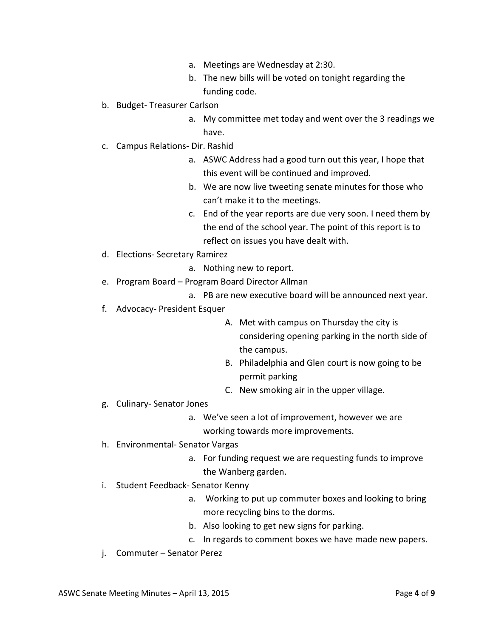- a. Meetings are Wednesday at 2:30.
- b. The new bills will be voted on tonight regarding the funding code.
- b. Budget- Treasurer Carlson
	- a. My committee met today and went over the 3 readings we have.
- c. Campus Relations- Dir. Rashid
	- a. ASWC Address had a good turn out this year, I hope that this event will be continued and improved.
	- b. We are now live tweeting senate minutes for those who can't make it to the meetings.
	- c. End of the year reports are due very soon. I need them by the end of the school year. The point of this report is to reflect on issues you have dealt with.
- d. Elections- Secretary Ramirez
	- a. Nothing new to report.
- e. Program Board Program Board Director Allman
	- a. PB are new executive board will be announced next year.
- f. Advocacy- President Esquer
	- A. Met with campus on Thursday the city is considering opening parking in the north side of the campus.
	- B. Philadelphia and Glen court is now going to be permit parking
	- C. New smoking air in the upper village.
- g. Culinary- Senator Jones
	- a. We've seen a lot of improvement, however we are working towards more improvements.
- h. Environmental- Senator Vargas
	- a. For funding request we are requesting funds to improve the Wanberg garden.
- i. Student Feedback- Senator Kenny
	- a. Working to put up commuter boxes and looking to bring more recycling bins to the dorms.
	- b. Also looking to get new signs for parking.
	- c. In regards to comment boxes we have made new papers.
- j. Commuter Senator Perez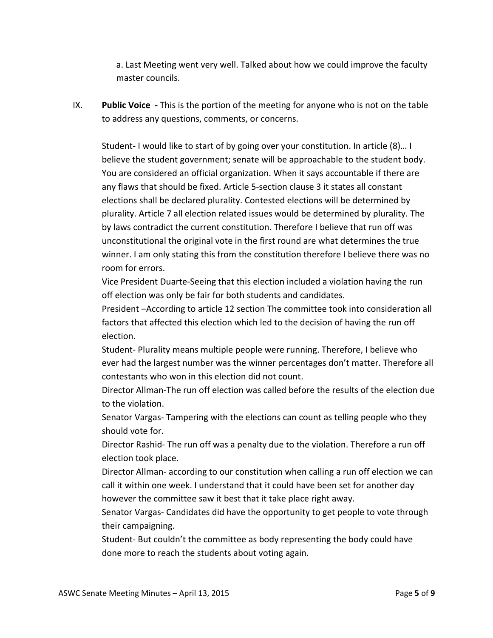a. Last Meeting went very well. Talked about how we could improve the faculty master councils.

IX. **Public Voice -** This is the portion of the meeting for anyone who is not on the table to address any questions, comments, or concerns.

Student- I would like to start of by going over your constitution. In article (8)… I believe the student government; senate will be approachable to the student body. You are considered an official organization. When it says accountable if there are any flaws that should be fixed. Article 5-section clause 3 it states all constant elections shall be declared plurality. Contested elections will be determined by plurality. Article 7 all election related issues would be determined by plurality. The by laws contradict the current constitution. Therefore I believe that run off was unconstitutional the original vote in the first round are what determines the true winner. I am only stating this from the constitution therefore I believe there was no room for errors.

Vice President Duarte-Seeing that this election included a violation having the run off election was only be fair for both students and candidates.

President –According to article 12 section The committee took into consideration all factors that affected this election which led to the decision of having the run off election.

Student- Plurality means multiple people were running. Therefore, I believe who ever had the largest number was the winner percentages don't matter. Therefore all contestants who won in this election did not count.

Director Allman-The run off election was called before the results of the election due to the violation.

Senator Vargas- Tampering with the elections can count as telling people who they should vote for.

Director Rashid- The run off was a penalty due to the violation. Therefore a run off election took place.

Director Allman- according to our constitution when calling a run off election we can call it within one week. I understand that it could have been set for another day however the committee saw it best that it take place right away.

Senator Vargas- Candidates did have the opportunity to get people to vote through their campaigning.

Student- But couldn't the committee as body representing the body could have done more to reach the students about voting again.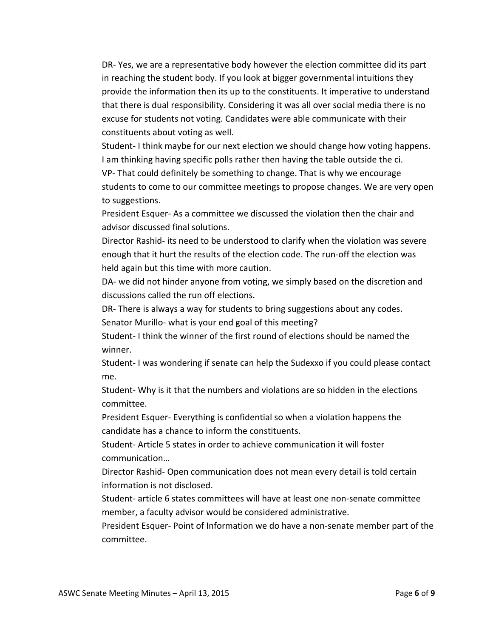DR- Yes, we are a representative body however the election committee did its part in reaching the student body. If you look at bigger governmental intuitions they provide the information then its up to the constituents. It imperative to understand that there is dual responsibility. Considering it was all over social media there is no excuse for students not voting. Candidates were able communicate with their constituents about voting as well.

Student- I think maybe for our next election we should change how voting happens. I am thinking having specific polls rather then having the table outside the ci. VP- That could definitely be something to change. That is why we encourage students to come to our committee meetings to propose changes. We are very open to suggestions.

President Esquer- As a committee we discussed the violation then the chair and advisor discussed final solutions.

Director Rashid- its need to be understood to clarify when the violation was severe enough that it hurt the results of the election code. The run-off the election was held again but this time with more caution.

DA- we did not hinder anyone from voting, we simply based on the discretion and discussions called the run off elections.

DR- There is always a way for students to bring suggestions about any codes. Senator Murillo- what is your end goal of this meeting?

Student- I think the winner of the first round of elections should be named the winner.

Student- I was wondering if senate can help the Sudexxo if you could please contact me.

Student- Why is it that the numbers and violations are so hidden in the elections committee.

President Esquer- Everything is confidential so when a violation happens the candidate has a chance to inform the constituents.

Student- Article 5 states in order to achieve communication it will foster communication…

Director Rashid- Open communication does not mean every detail is told certain information is not disclosed.

Student- article 6 states committees will have at least one non-senate committee member, a faculty advisor would be considered administrative.

President Esquer- Point of Information we do have a non-senate member part of the committee.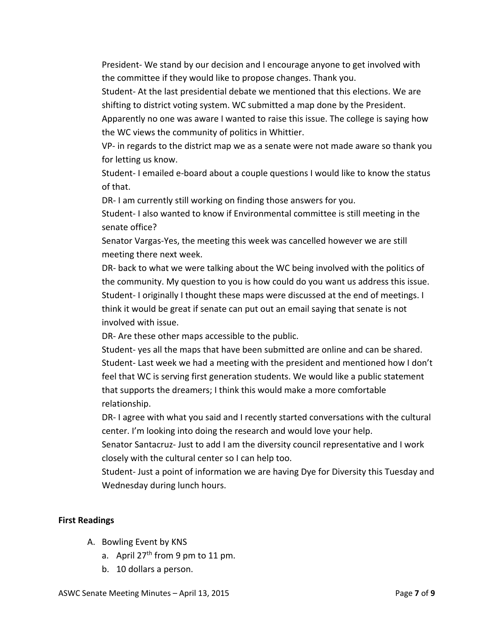President- We stand by our decision and I encourage anyone to get involved with the committee if they would like to propose changes. Thank you.

Student- At the last presidential debate we mentioned that this elections. We are shifting to district voting system. WC submitted a map done by the President.

Apparently no one was aware I wanted to raise this issue. The college is saying how the WC views the community of politics in Whittier.

VP- in regards to the district map we as a senate were not made aware so thank you for letting us know.

Student- I emailed e-board about a couple questions I would like to know the status of that.

DR- I am currently still working on finding those answers for you.

Student- I also wanted to know if Environmental committee is still meeting in the senate office?

Senator Vargas-Yes, the meeting this week was cancelled however we are still meeting there next week.

DR- back to what we were talking about the WC being involved with the politics of the community. My question to you is how could do you want us address this issue. Student- I originally I thought these maps were discussed at the end of meetings. I think it would be great if senate can put out an email saying that senate is not involved with issue.

DR- Are these other maps accessible to the public.

Student- yes all the maps that have been submitted are online and can be shared. Student- Last week we had a meeting with the president and mentioned how I don't feel that WC is serving first generation students. We would like a public statement that supports the dreamers; I think this would make a more comfortable relationship.

DR- I agree with what you said and I recently started conversations with the cultural center. I'm looking into doing the research and would love your help.

Senator Santacruz- Just to add I am the diversity council representative and I work closely with the cultural center so I can help too.

Student- Just a point of information we are having Dye for Diversity this Tuesday and Wednesday during lunch hours.

#### **First Readings**

- A. Bowling Event by KNS
	- a. April  $27<sup>th</sup>$  from 9 pm to 11 pm.
	- b. 10 dollars a person.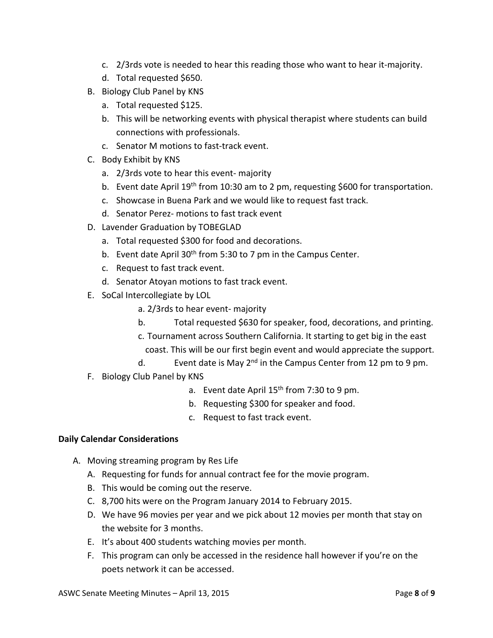- c. 2/3rds vote is needed to hear this reading those who want to hear it-majority.
- d. Total requested \$650.
- B. Biology Club Panel by KNS
	- a. Total requested \$125.
	- b. This will be networking events with physical therapist where students can build connections with professionals.
	- c. Senator M motions to fast-track event.
- C. Body Exhibit by KNS
	- a. 2/3rds vote to hear this event- majority
	- b. Event date April 19<sup>th</sup> from 10:30 am to 2 pm, requesting \$600 for transportation.
	- c. Showcase in Buena Park and we would like to request fast track.
	- d. Senator Perez- motions to fast track event
- D. Lavender Graduation by TOBEGLAD
	- a. Total requested \$300 for food and decorations.
	- b. Event date April  $30<sup>th</sup>$  from 5:30 to 7 pm in the Campus Center.
	- c. Request to fast track event.
	- d. Senator Atoyan motions to fast track event.
- E. SoCal Intercollegiate by LOL
	- a. 2/3rds to hear event- majority
	- b. Total requested \$630 for speaker, food, decorations, and printing.
	- c. Tournament across Southern California. It starting to get big in the east
		- coast. This will be our first begin event and would appreciate the support.
	- d. Event date is May  $2^{nd}$  in the Campus Center from 12 pm to 9 pm.
- F. Biology Club Panel by KNS
	- a. Event date April  $15<sup>th</sup>$  from 7:30 to 9 pm.
	- b. Requesting \$300 for speaker and food.
	- c. Request to fast track event.

## **Daily Calendar Considerations**

- A. Moving streaming program by Res Life
	- A. Requesting for funds for annual contract fee for the movie program.
	- B. This would be coming out the reserve.
	- C. 8,700 hits were on the Program January 2014 to February 2015.
	- D. We have 96 movies per year and we pick about 12 movies per month that stay on the website for 3 months.
	- E. It's about 400 students watching movies per month.
	- F. This program can only be accessed in the residence hall however if you're on the poets network it can be accessed.